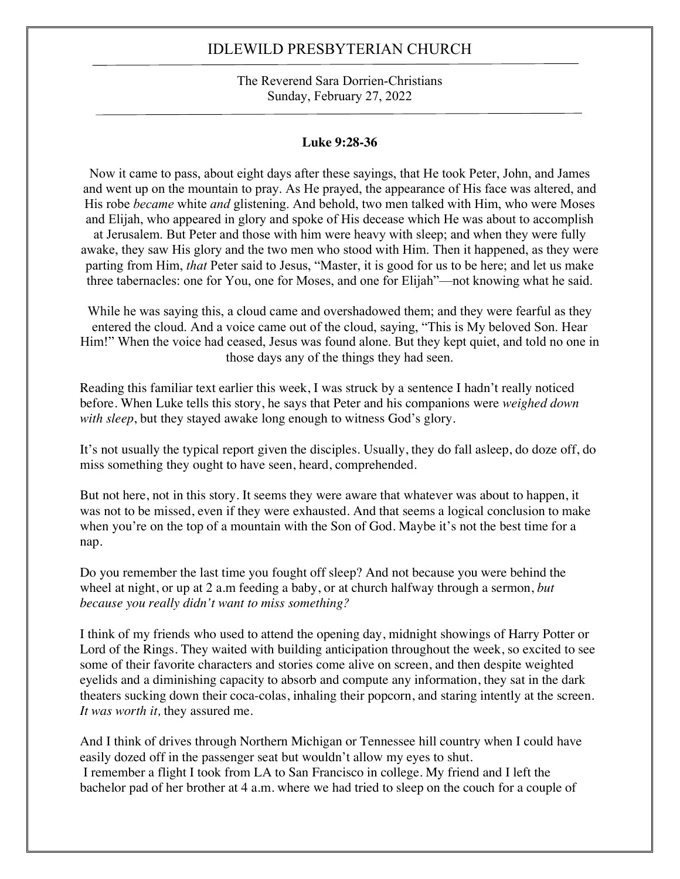#### The Reverend Sara Dorrien-Christians Sunday, February 27, 2022

#### **Luke 9:28-36**

Now it came to pass, about eight days after these sayings, that He took Peter, John, and James and went up on the mountain to pray. As He prayed, the appearance of His face was altered, and His robe *became* white *and* glistening. And behold, two men talked with Him, who were Moses and Elijah, who appeared in glory and spoke of His decease which He was about to accomplish at Jerusalem. But Peter and those with him were heavy with sleep; and when they were fully awake, they saw His glory and the two men who stood with Him. Then it happened, as they were parting from Him, *that* Peter said to Jesus, "Master, it is good for us to be here; and let us make three tabernacles: one for You, one for Moses, and one for Elijah"—not knowing what he said.

While he was saying this, a cloud came and overshadowed them; and they were fearful as they entered the cloud. And a voice came out of the cloud, saying, "This is My beloved Son. Hear Him!" When the voice had ceased, Jesus was found alone. But they kept quiet, and told no one in those days any of the things they had seen.

Reading this familiar text earlier this week, I was struck by a sentence I hadn't really noticed before. When Luke tells this story, he says that Peter and his companions were *weighed down with sleep*, but they stayed awake long enough to witness God's glory.

It's not usually the typical report given the disciples. Usually, they do fall asleep, do doze off, do miss something they ought to have seen, heard, comprehended.

But not here, not in this story. It seems they were aware that whatever was about to happen, it was not to be missed, even if they were exhausted. And that seems a logical conclusion to make when you're on the top of a mountain with the Son of God. Maybe it's not the best time for a nap.

Do you remember the last time you fought off sleep? And not because you were behind the wheel at night, or up at 2 a.m feeding a baby, or at church halfway through a sermon, *but because you really didn't want to miss something?*

I think of my friends who used to attend the opening day, midnight showings of Harry Potter or Lord of the Rings. They waited with building anticipation throughout the week, so excited to see some of their favorite characters and stories come alive on screen, and then despite weighted eyelids and a diminishing capacity to absorb and compute any information, they sat in the dark theaters sucking down their coca-colas, inhaling their popcorn, and staring intently at the screen. *It was worth it,* they assured me.

And I think of drives through Northern Michigan or Tennessee hill country when I could have easily dozed off in the passenger seat but wouldn't allow my eyes to shut. I remember a flight I took from LA to San Francisco in college. My friend and I left the bachelor pad of her brother at 4 a.m. where we had tried to sleep on the couch for a couple of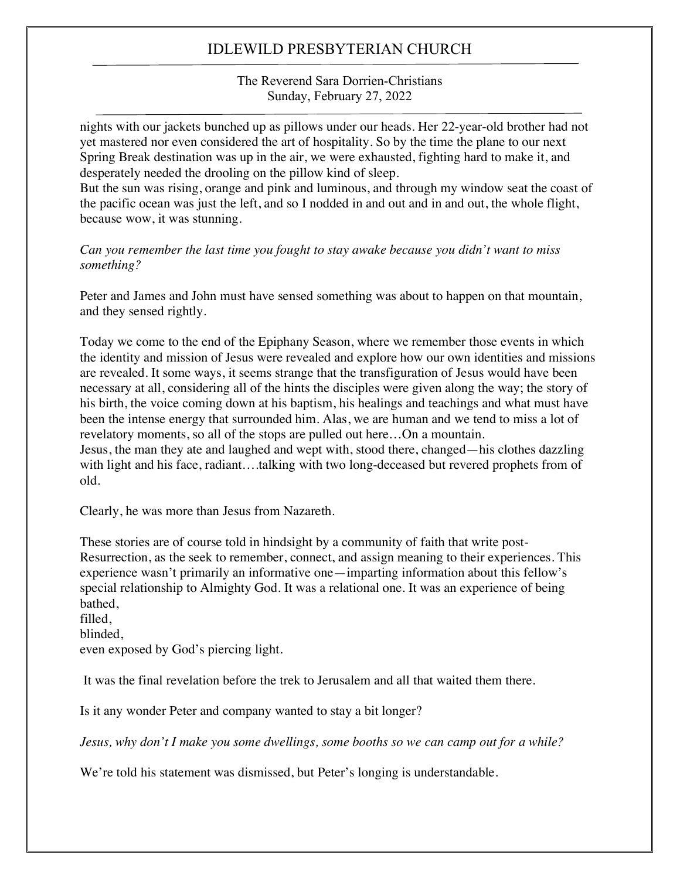The Reverend Sara Dorrien-Christians Sunday, February 27, 2022

nights with our jackets bunched up as pillows under our heads. Her 22-year-old brother had not yet mastered nor even considered the art of hospitality. So by the time the plane to our next Spring Break destination was up in the air, we were exhausted, fighting hard to make it, and desperately needed the drooling on the pillow kind of sleep.

But the sun was rising, orange and pink and luminous, and through my window seat the coast of the pacific ocean was just the left, and so I nodded in and out and in and out, the whole flight, because wow, it was stunning.

*Can you remember the last time you fought to stay awake because you didn't want to miss something?*

Peter and James and John must have sensed something was about to happen on that mountain, and they sensed rightly.

Today we come to the end of the Epiphany Season, where we remember those events in which the identity and mission of Jesus were revealed and explore how our own identities and missions are revealed. It some ways, it seems strange that the transfiguration of Jesus would have been necessary at all, considering all of the hints the disciples were given along the way; the story of his birth, the voice coming down at his baptism, his healings and teachings and what must have been the intense energy that surrounded him. Alas, we are human and we tend to miss a lot of revelatory moments, so all of the stops are pulled out here…On a mountain. Jesus, the man they ate and laughed and wept with, stood there, changed—his clothes dazzling

with light and his face, radiant....talking with two long-deceased but revered prophets from of old.

Clearly, he was more than Jesus from Nazareth.

These stories are of course told in hindsight by a community of faith that write post-Resurrection, as the seek to remember, connect, and assign meaning to their experiences. This experience wasn't primarily an informative one—imparting information about this fellow's special relationship to Almighty God. It was a relational one. It was an experience of being bathed,

filled, blinded, even exposed by God's piercing light.

It was the final revelation before the trek to Jerusalem and all that waited them there.

Is it any wonder Peter and company wanted to stay a bit longer?

*Jesus, why don't I make you some dwellings, some booths so we can camp out for a while?*

We're told his statement was dismissed, but Peter's longing is understandable.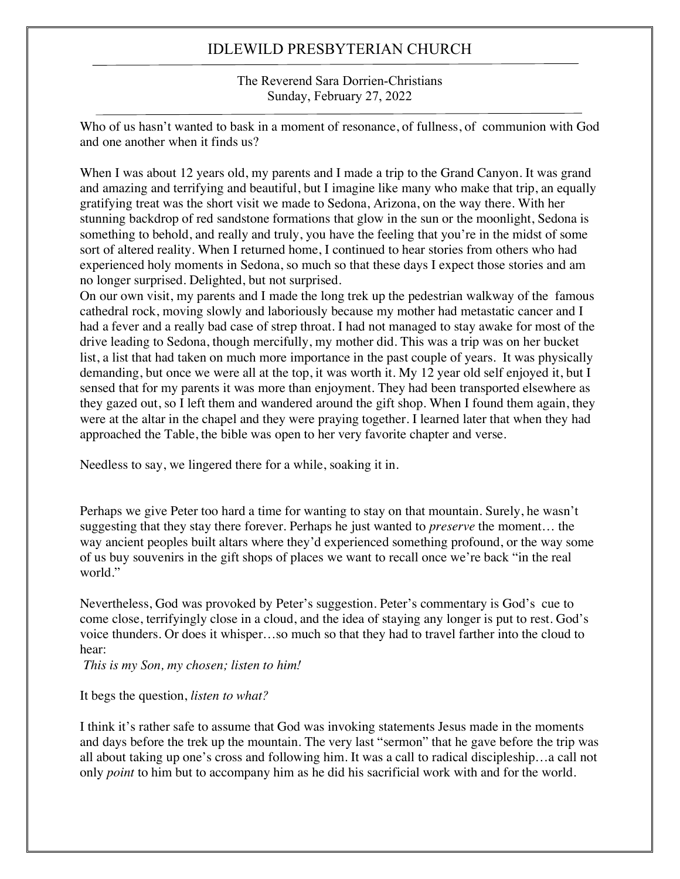The Reverend Sara Dorrien-Christians Sunday, February 27, 2022

Who of us hasn't wanted to bask in a moment of resonance, of fullness, of communion with God and one another when it finds us?

When I was about 12 years old, my parents and I made a trip to the Grand Canyon. It was grand and amazing and terrifying and beautiful, but I imagine like many who make that trip, an equally gratifying treat was the short visit we made to Sedona, Arizona, on the way there. With her stunning backdrop of red sandstone formations that glow in the sun or the moonlight, Sedona is something to behold, and really and truly, you have the feeling that you're in the midst of some sort of altered reality. When I returned home, I continued to hear stories from others who had experienced holy moments in Sedona, so much so that these days I expect those stories and am no longer surprised. Delighted, but not surprised.

On our own visit, my parents and I made the long trek up the pedestrian walkway of the famous cathedral rock, moving slowly and laboriously because my mother had metastatic cancer and I had a fever and a really bad case of strep throat. I had not managed to stay awake for most of the drive leading to Sedona, though mercifully, my mother did. This was a trip was on her bucket list, a list that had taken on much more importance in the past couple of years. It was physically demanding, but once we were all at the top, it was worth it. My 12 year old self enjoyed it, but I sensed that for my parents it was more than enjoyment. They had been transported elsewhere as they gazed out, so I left them and wandered around the gift shop. When I found them again, they were at the altar in the chapel and they were praying together. I learned later that when they had approached the Table, the bible was open to her very favorite chapter and verse.

Needless to say, we lingered there for a while, soaking it in.

Perhaps we give Peter too hard a time for wanting to stay on that mountain. Surely, he wasn't suggesting that they stay there forever. Perhaps he just wanted to *preserve* the moment… the way ancient peoples built altars where they'd experienced something profound, or the way some of us buy souvenirs in the gift shops of places we want to recall once we're back "in the real world."

Nevertheless, God was provoked by Peter's suggestion. Peter's commentary is God's cue to come close, terrifyingly close in a cloud, and the idea of staying any longer is put to rest. God's voice thunders. Or does it whisper…so much so that they had to travel farther into the cloud to hear:

*This is my Son, my chosen; listen to him!*

It begs the question, *listen to what?*

I think it's rather safe to assume that God was invoking statements Jesus made in the moments and days before the trek up the mountain. The very last "sermon" that he gave before the trip was all about taking up one's cross and following him. It was a call to radical discipleship…a call not only *point* to him but to accompany him as he did his sacrificial work with and for the world.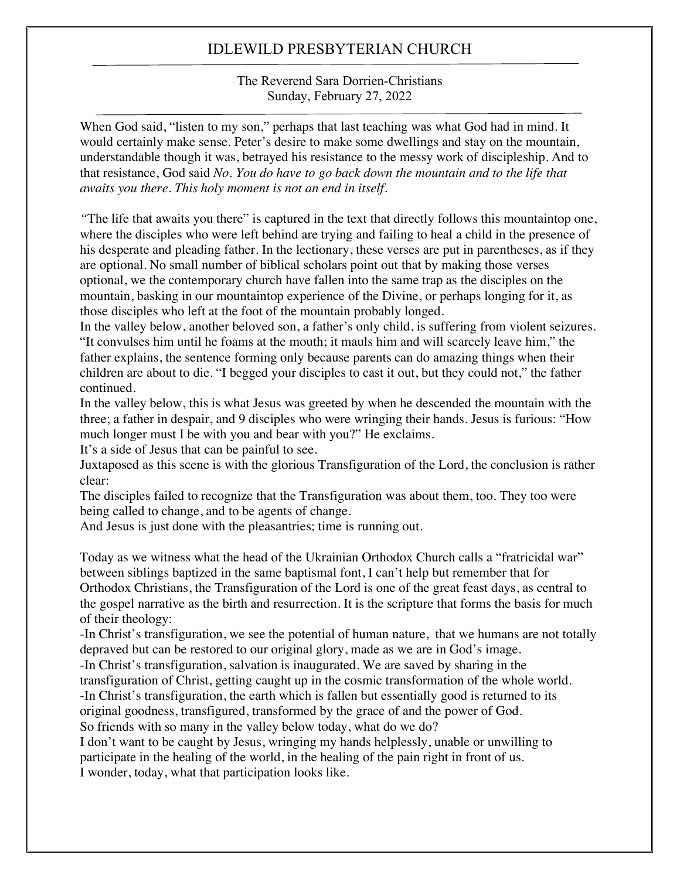The Reverend Sara Dorrien-Christians Sunday, February 27, 2022

When God said, "listen to my son," perhaps that last teaching was what God had in mind. It would certainly make sense. Peter's desire to make some dwellings and stay on the mountain, understandable though it was, betrayed his resistance to the messy work of discipleship. And to that resistance, God said *No. You do have to go back down the mountain and to the life that awaits you there. This holy moment is not an end in itself.*

*"*The life that awaits you there" is captured in the text that directly follows this mountaintop one, where the disciples who were left behind are trying and failing to heal a child in the presence of his desperate and pleading father. In the lectionary, these verses are put in parentheses, as if they are optional. No small number of biblical scholars point out that by making those verses optional, we the contemporary church have fallen into the same trap as the disciples on the mountain, basking in our mountaintop experience of the Divine, or perhaps longing for it, as those disciples who left at the foot of the mountain probably longed.

In the valley below, another beloved son, a father's only child, is suffering from violent seizures. "It convulses him until he foams at the mouth; it mauls him and will scarcely leave him," the father explains, the sentence forming only because parents can do amazing things when their children are about to die. "I begged your disciples to cast it out, but they could not," the father continued.

In the valley below, this is what Jesus was greeted by when he descended the mountain with the three; a father in despair, and 9 disciples who were wringing their hands. Jesus is furious: "How much longer must I be with you and bear with you?" He exclaims.

It's a side of Jesus that can be painful to see.

Juxtaposed as this scene is with the glorious Transfiguration of the Lord, the conclusion is rather clear:

The disciples failed to recognize that the Transfiguration was about them, too. They too were being called to change, and to be agents of change.

And Jesus is just done with the pleasantries; time is running out.

Today as we witness what the head of the Ukrainian Orthodox Church calls a "fratricidal war" between siblings baptized in the same baptismal font, I can't help but remember that for Orthodox Christians, the Transfiguration of the Lord is one of the great feast days, as central to the gospel narrative as the birth and resurrection. It is the scripture that forms the basis for much of their theology:

-In Christ's transfiguration, we see the potential of human nature, that we humans are not totally depraved but can be restored to our original glory, made as we are in God's image.

-In Christ's transfiguration, salvation is inaugurated. We are saved by sharing in the

transfiguration of Christ, getting caught up in the cosmic transformation of the whole world.

-In Christ's transfiguration, the earth which is fallen but essentially good is returned to its

original goodness, transfigured, transformed by the grace of and the power of God.

So friends with so many in the valley below today, what do we do?

I don't want to be caught by Jesus, wringing my hands helplessly, unable or unwilling to participate in the healing of the world, in the healing of the pain right in front of us. I wonder, today, what that participation looks like.